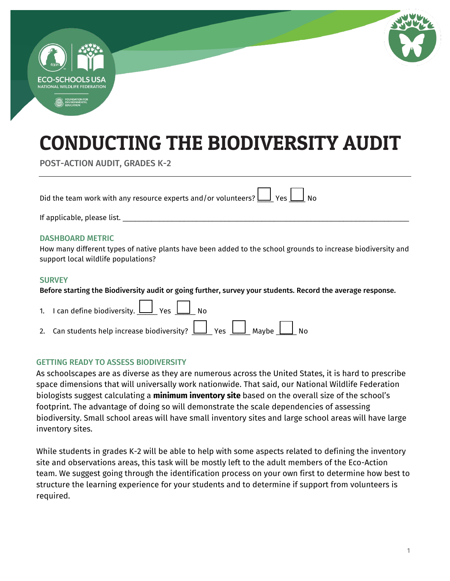

# CONDUCTING THE BIODIVERSITY AUDIT

POST-ACTION AUDIT, GRADES K-2

Did the team work with any resource experts and/or volunteers?  $\boxed{\underline{\hspace{1cm}}}$  Yes  $\boxed{\hspace{1cm}}$  No

If applicable, please list. \_\_\_\_\_\_\_\_\_\_\_\_\_\_\_\_\_\_\_\_\_\_\_\_\_\_\_\_\_\_\_\_\_\_\_\_\_\_\_\_\_\_\_\_\_\_\_\_\_\_\_\_\_\_\_\_\_\_\_\_\_\_\_\_\_\_\_\_\_\_

### DASHBOARD METRIC

How many different types of native plants have been added to the school grounds to increase biodiversity and support local wildlife populations?

### **SURVEY**

Before starting the Biodiversity audit or going further, survey your students. Record the average response.

| 1. I can define biodiversity. $\boxed{\phantom{1}}$ Yes $\boxed{\phantom{1}}$ No |  |
|----------------------------------------------------------------------------------|--|
| 2. Can students help increase biodiversity? $\Box$ Yes $\Box$ Maybe $\Box$ No    |  |

### GETTING READY TO ASSESS BIODIVERSITY

As schoolscapes are as diverse as they are numerous across the United States, it is hard to prescribe space dimensions that will universally work nationwide. That said, our National Wildlife Federation biologists suggest calculating a **minimum inventory site** based on the overall size of the school's footprint. The advantage of doing so will demonstrate the scale dependencies of assessing biodiversity. Small school areas will have small inventory sites and large school areas will have large inventory sites.

While students in grades K-2 will be able to help with some aspects related to defining the inventory site and observations areas, this task will be mostly left to the adult members of the Eco-Action team. We suggest going through the identification process on your own first to determine how best to structure the learning experience for your students and to determine if support from volunteers is required.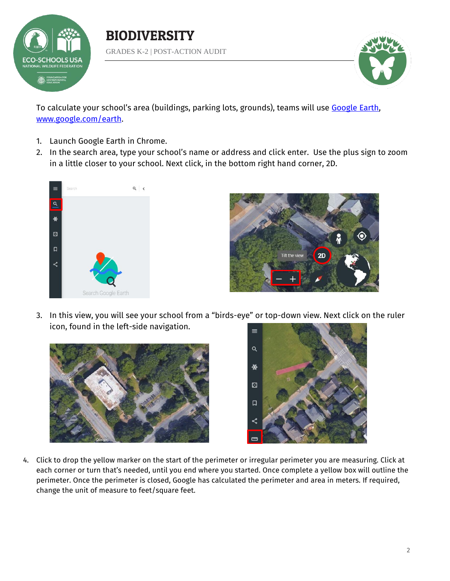

BIODIVERSITY GRADES K-2 | POST-ACTION AUDIT



To calculate your school's area (buildings, parking lots, grounds), teams will use [Google Earth,](https://www.google.com/earth/) [www.google.com/earth.](file:///C:/Users/hammondsj/Dropbox%20(NWF)/Education/ENVIROED/K-16%20Education/Audits/Biodiversity/www.google.com/earth)

- 1. Launch Google Earth in Chrome.
- 2. In the search area, type your school's name or address and click enter. Use the plus sign to zoom in a little closer to your school. Next click, in the bottom right hand corner, 2D.





3. In this view, you will see your school from a "birds-eye" or top-down view. Next click on the ruler icon, found in the left-side navigation.





4. Click to drop the yellow marker on the start of the perimeter or irregular perimeter you are measuring. Click at each corner or turn that's needed, until you end where you started. Once complete a yellow box will outline the perimeter. Once the perimeter is closed, Google has calculated the perimeter and area in meters. If required, change the unit of measure to feet/square feet.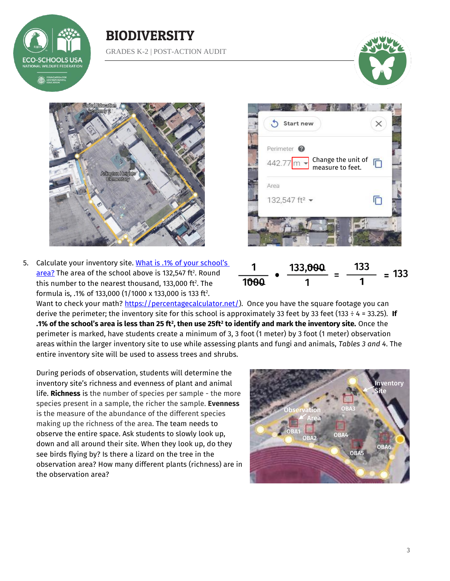

### BIODIVERSITY GRADES K-2 | POST-ACTION AUDIT





5. Calculate your inventory site. What is .1% of your school's <u>area?</u> The area of the school above is 132,547 ft². Round this number to the nearest thousand, 133,000 ft $^{\rm 2}$ . The formula is, .1% of 133,000 (1/1000 x 133,000 is 133 ft<sup>2</sup> .





Want to check your math? [https://percentagecalculator.net/\)](https://percentagecalculator.net/). Once you have the square footage you can derive the perimeter; the inventory site for this school is approximately 33 feet by 33 feet (133 ÷ 4 = 33.25). **If .1% of the school's area is less than 25 ft<sup>2</sup> , then use 25ft<sup>2</sup> to identify and mark the inventory site.** Once the perimeter is marked, have students create a minimum of 3, 3 foot (1 meter) by 3 foot (1 meter) observation areas within the larger inventory site to use while assessing plants and fungi and animals, *Tables 3 and 4*. The entire inventory site will be used to assess trees and shrubs.

During periods of observation, students will determine the inventory site's richness and evenness of plant and animal life. **Richness** is the number of species per sample - the more species present in a sample, the richer the sample. **Evenness** is the measure of the abundance of the different species making up the richness of the area. The team needs to observe the entire space. Ask students to slowly look up, down and all around their site. When they look up, do they see birds flying by? Is there a lizard on the tree in the observation area? How many different plants (richness) are in the observation area?

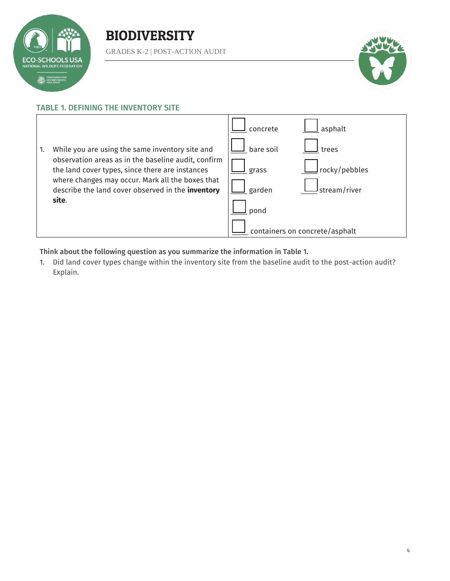

### BIODIVERSITY

GRADES K-2 | POST-ACTION AUDIT



### TABLE 1. DEFINING THE INVENTORY SITE



Think about the following question as you summarize the information in Table 1.

1. Did land cover types change within the inventory site from the baseline audit to the post-action audit? Explain.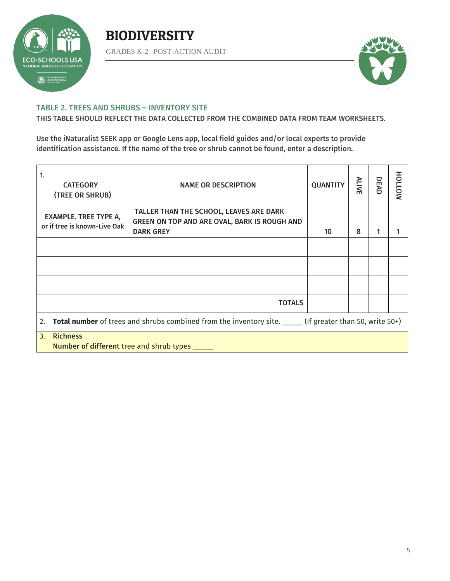

### **BIODIVERSITY**

GRADES K-2 | POST-ACTION AUDIT



#### TABLE 2. TREES AND SHRUBS – INVENTORY SITE

THIS TABLE SHOULD REFLECT THE DATA COLLECTED FROM THE COMBINED DATA FROM TEAM WORKSHEETS.

Use the iNaturalist SEEK app or Google Lens app, local field guides and/or local experts to provide identification assistance. If the name of the tree or shrub cannot be found, enter a description.

| 1.<br><b>CATEGORY</b><br>(TREE OR SHRUB)                                                                               | <b>NAME OR DESCRIPTION</b>                                                                                  | <b>QUANTITY</b> | <b>ALIVE</b> | DEAD | HOLLOW |  |
|------------------------------------------------------------------------------------------------------------------------|-------------------------------------------------------------------------------------------------------------|-----------------|--------------|------|--------|--|
| <b>EXAMPLE. TREE TYPE A,</b><br>or if tree is known-Live Oak                                                           | TALLER THAN THE SCHOOL, LEAVES ARE DARK<br>GREEN ON TOP AND ARE OVAL, BARK IS ROUGH AND<br><b>DARK GREY</b> | 10              | 8            | 1    |        |  |
|                                                                                                                        |                                                                                                             |                 |              |      |        |  |
|                                                                                                                        |                                                                                                             |                 |              |      |        |  |
|                                                                                                                        |                                                                                                             |                 |              |      |        |  |
| <b>TOTALS</b>                                                                                                          |                                                                                                             |                 |              |      |        |  |
| <b>Total number</b> of trees and shrubs combined from the inventory site. ______ (If greater than 50, write 50+)<br>2. |                                                                                                             |                 |              |      |        |  |
| <b>Richness</b><br>3.<br><b>Number of different</b> tree and shrub types _____                                         |                                                                                                             |                 |              |      |        |  |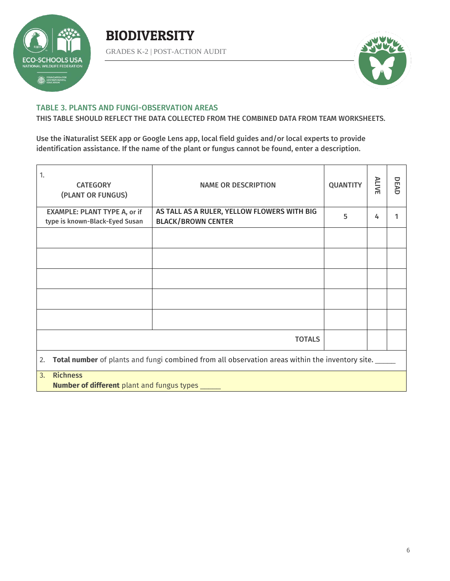

## **BIODIVERSITY**

GRADES K-2 | POST-ACTION AUDIT



#### TABLE 3. PLANTS AND FUNGI-OBSERVATION AREAS

THIS TABLE SHOULD REFLECT THE DATA COLLECTED FROM THE COMBINED DATA FROM TEAM WORKSHEETS.

Use the iNaturalist SEEK app or Google Lens app, local field guides and/or local experts to provide identification assistance. If the name of the plant or fungus cannot be found, enter a description.

| 1.<br><b>CATEGORY</b><br>(PLANT OR FUNGUS)                                                            | <b>NAME OR DESCRIPTION</b>                  | <b>QUANTITY</b> | <b>ALIVE</b> | DEAD |  |  |  |
|-------------------------------------------------------------------------------------------------------|---------------------------------------------|-----------------|--------------|------|--|--|--|
| <b>EXAMPLE: PLANT TYPE A, or if</b>                                                                   | AS TALL AS A RULER, YELLOW FLOWERS WITH BIG | 5               | 4            |      |  |  |  |
| type is known-Black-Eyed Susan                                                                        | <b>BLACK/BROWN CENTER</b>                   |                 |              |      |  |  |  |
|                                                                                                       |                                             |                 |              |      |  |  |  |
|                                                                                                       |                                             |                 |              |      |  |  |  |
|                                                                                                       |                                             |                 |              |      |  |  |  |
|                                                                                                       |                                             |                 |              |      |  |  |  |
|                                                                                                       |                                             |                 |              |      |  |  |  |
| <b>TOTALS</b>                                                                                         |                                             |                 |              |      |  |  |  |
| Total number of plants and fungi combined from all observation areas within the inventory site.<br>2. |                                             |                 |              |      |  |  |  |
| <b>Richness</b><br>3.<br>N                                                                            |                                             |                 |              |      |  |  |  |

**Number of different** plant and fungus types \_\_\_\_\_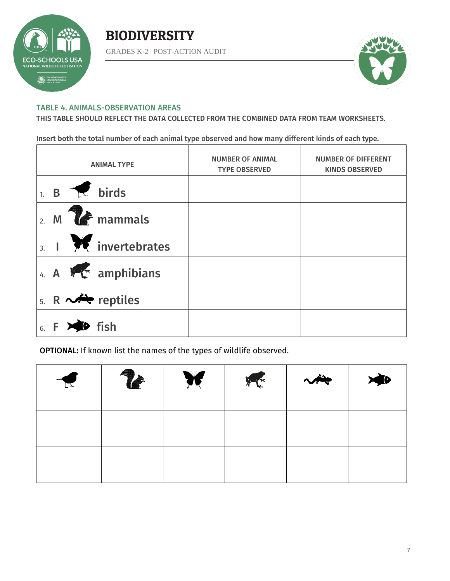



#### TABLE 4. ANIMALS-OBSERVATION AREAS

THIS TABLE SHOULD REFLECT THE DATA COLLECTED FROM THE COMBINED DATA FROM TEAM WORKSHEETS.

Insert both the total number of each animal type observed and how many different kinds of each type.

|                  |                       | <b>ANIMAL TYPE</b>                          | <b>NUMBER OF ANIMAL</b><br><b>TYPE OBSERVED</b> | <b>NUMBER OF DIFFERENT</b><br><b>KINDS OBSERVED</b> |
|------------------|-----------------------|---------------------------------------------|-------------------------------------------------|-----------------------------------------------------|
|                  |                       | $1. B \rightarrow \mathbb{R}$ birds         |                                                 |                                                     |
| $\overline{2}$ . |                       | $M$ $\rightarrow$ mammals                   |                                                 |                                                     |
|                  |                       | $\frac{1}{3}$ . $\frac{1}{2}$ invertebrates |                                                 |                                                     |
|                  |                       | 4. A $N \leftarrow$ amphibians              |                                                 |                                                     |
|                  |                       | 5. R $\sim$ reptiles                        |                                                 |                                                     |
|                  | $6. F \times 10$ fish |                                             |                                                 |                                                     |

OPTIONAL: If known list the names of the types of wildlife observed.

| $\blacktriangledown$ | $\mathbf{r}$ | WE INCOME | $\sim$ |  |
|----------------------|--------------|-----------|--------|--|
|                      |              |           |        |  |
|                      |              |           |        |  |
|                      |              |           |        |  |
|                      |              |           |        |  |
|                      |              |           |        |  |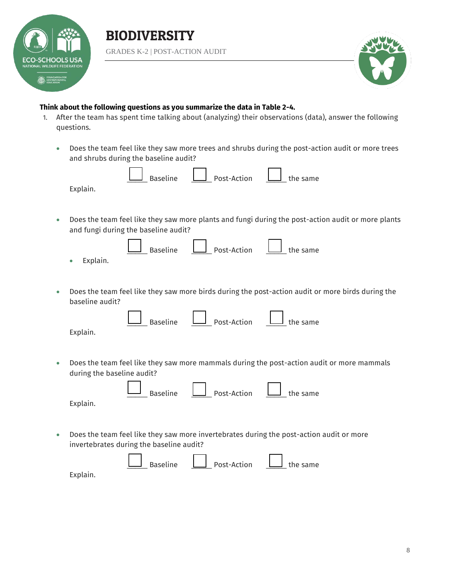



### **Think about the following questions as you summarize the data in Table 2-4.**

- 1. After the team has spent time talking about (analyzing) their observations (data), answer the following questions.
	- Does the team feel like they saw more trees and shrubs during the post-action audit or more trees and shrubs during the baseline audit?

| <b>Baseline</b><br>Post-Action<br>the same<br>Explain.                                                                                     |
|--------------------------------------------------------------------------------------------------------------------------------------------|
|                                                                                                                                            |
| Does the team feel like they saw more plants and fungi during the post-action audit or more plants<br>and fungi during the baseline audit? |
| <b>Baseline</b><br>Post-Action<br>the same<br>Explain.                                                                                     |
| Does the team feel like they saw more birds during the post-action audit or more birds during the<br>baseline audit?                       |
| <b>Baseline</b><br>Post-Action<br>the same<br>Explain.                                                                                     |
| Does the team feel like they saw more mammals during the post-action audit or more mammals<br>during the baseline audit?                   |
| <b>Baseline</b><br>Post-Action<br>the same<br>Explain.                                                                                     |
| Does the team feel like they saw more invertebrates during the post-action audit or more<br>invertebrates during the baseline audit?       |
| <b>Baseline</b><br>Post-Action<br>the same<br>Explain.                                                                                     |
|                                                                                                                                            |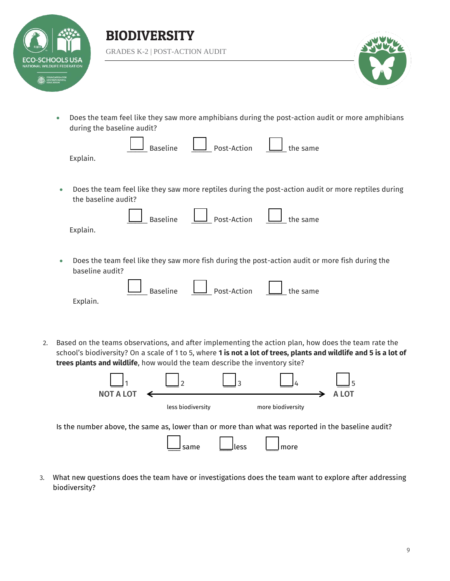

Explain.





 Does the team feel like they saw more amphibians during the post-action audit or more amphibians during the baseline audit?

| $\Box$ Baseline | $\Box$ Post-Action | $\Box$ the same |
|-----------------|--------------------|-----------------|
|                 |                    |                 |

 Does the team feel like they saw more reptiles during the post-action audit or more reptiles during the baseline audit?

|          | Baseline Depost-Action Luis the same |  |
|----------|--------------------------------------|--|
| Explain. |                                      |  |

 Does the team feel like they saw more fish during the post-action audit or more fish during the baseline audit?

|          | $\Box$ Baseline $\Box$ Post-Action $\Box$ the same |  |
|----------|----------------------------------------------------|--|
| Explain. |                                                    |  |

2. Based on the teams observations, and after implementing the action plan, how does the team rate the school's biodiversity? On a scale of 1 to 5, where **1 is not a lot of trees, plants and wildlife and 5 is a lot of trees plants and wildlife**, how would the team describe the inventory site?

|                                                                                                    | ר ו               |       |                   |       |
|----------------------------------------------------------------------------------------------------|-------------------|-------|-------------------|-------|
| <b>NOT A LOT</b>                                                                                   |                   |       |                   | A LOT |
|                                                                                                    | less biodiversity |       | more biodiversity |       |
| Is the number above, the same as, lower than or more than what was reported in the baseline audit? |                   |       |                   |       |
|                                                                                                    |                   | Jless | more              |       |

3. What new questions does the team have or investigations does the team want to explore after addressing biodiversity?